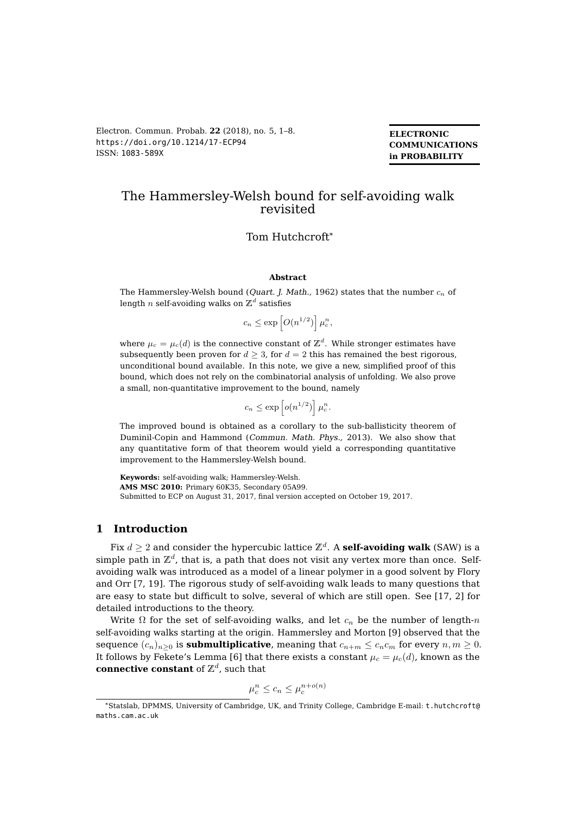**ELECTRONIC COMMUNICATIONS in PROBABILITY**

# The Hammersley-Welsh bound for self-avoiding walk revisited

### Tom Hutchcroft\*

#### **Abstract**

The Hammersley-Welsh bound (*Quart. J. Math.,* 1962) states that the number  $c_n$  of length  $n$  self-avoiding walks on  $\mathbb{Z}^d$  satisfies

$$
c_n \le \exp\left[O(n^{1/2})\right] \mu_c^n,
$$

where  $\mu_c = \mu_c(d)$  is the connective constant of  $\mathbb{Z}^d$ . While stronger estimates have subsequently been proven for  $d \geq 3$ , for  $d = 2$  this has remained the best rigorous, unconditional bound available. In this note, we give a new, simplified proof of this bound, which does not rely on the combinatorial analysis of unfolding. We also prove a small, non-quantitative improvement to the bound, namely

$$
c_n \le \exp\left[ o(n^{1/2}) \right] \mu_c^n.
$$

The improved bound is obtained as a corollary to the sub-ballisticity theorem of Duminil-Copin and Hammond (Commun. Math. Phys., 2013). We also show that any quantitative form of that theorem would yield a corresponding quantitative improvement to the Hammersley-Welsh bound.

**Keywords:** self-avoiding walk; Hammersley-Welsh. **AMS MSC 2010:** Primary 60K35, Secondary 05A99. Submitted to ECP on August 31, 2017, final version accepted on October 19, 2017.

### **1 Introduction**

Fix  $d\geq 2$  and consider the hypercubic lattice  $\mathbb{Z}^d$ . A **self-avoiding walk** (SAW) is a simple path in  $\mathbb{Z}^d$ , that is, a path that does not visit any vertex more than once. Selfavoiding walk was introduced as a model of a linear polymer in a good solvent by Flory and Orr [\[7,](#page-6-0) [19\]](#page-7-1). The rigorous study of self-avoiding walk leads to many questions that are easy to state but difficult to solve, several of which are still open. See [\[17,](#page-6-1) [2\]](#page-6-2) for detailed introductions to the theory.

Write  $\Omega$  for the set of self-avoiding walks, and let  $c_n$  be the number of length-n self-avoiding walks starting at the origin. Hammersley and Morton [\[9\]](#page-6-3) observed that the sequence  $(c_n)_{n\geq 0}$  is **submultiplicative**, meaning that  $c_{n+m} \leq c_n c_m$  for every  $n, m \geq 0$ . It follows by Fekete's Lemma [\[6\]](#page-6-4) that there exists a constant  $\mu_c = \mu_c(d)$ , known as the **connective constant** of  $\mathbb{Z}^d$ , such that

$$
\mu_c^n \le c_n \le \mu_c^{n+o(n)}
$$

<sup>\*</sup>Statslab, DPMMS, University of Cambridge, UK, and Trinity College, Cambridge E-mail: [t.hutchcroft@](mailto:t.hutchcroft@maths.cam.ac.uk) [maths.cam.ac.uk](mailto:t.hutchcroft@maths.cam.ac.uk)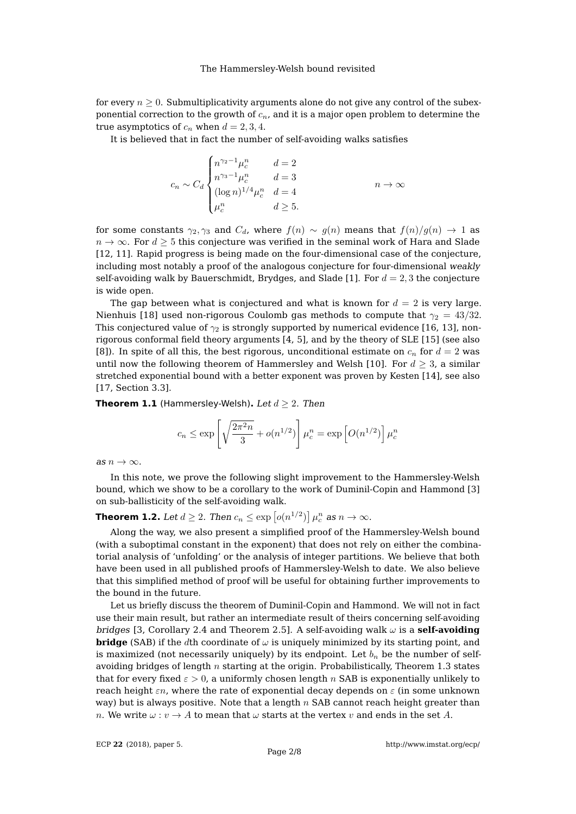for every  $n \geq 0$ . Submultiplicativity arguments alone do not give any control of the subexponential correction to the growth of  $c_n$ , and it is a major open problem to determine the true asymptotics of  $c_n$  when  $d = 2, 3, 4$ .

It is believed that in fact the number of self-avoiding walks satisfies

$$
c_n \sim C_d \begin{cases} n^{\gamma_2 - 1} \mu_c^n & d = 2 \\ n^{\gamma_3 - 1} \mu_c^n & d = 3 \\ (\log n)^{1/4} \mu_c^n & d = 4 \\ \mu_c^n & d \ge 5. \end{cases} \qquad n \to \infty
$$

for some constants  $\gamma_2, \gamma_3$  and  $C_d$ , where  $f(n) \sim q(n)$  means that  $f(n)/q(n) \to 1$  as  $n \to \infty$ . For  $d \geq 5$  this conjecture was verified in the seminal work of Hara and Slade [\[12,](#page-6-5) [11\]](#page-6-6). Rapid progress is being made on the four-dimensional case of the conjecture, including most notably a proof of the analogous conjecture for four-dimensional weakly self-avoiding walk by Bauerschmidt, Brydges, and Slade [\[1\]](#page-6-7). For  $d = 2, 3$  the conjecture is wide open.

The gap between what is conjectured and what is known for  $d = 2$  is very large. Nienhuis [\[18\]](#page-7-2) used non-rigorous Coulomb gas methods to compute that  $\gamma_2 = 43/32$ . This conjectured value of  $\gamma_2$  is strongly supported by numerical evidence [\[16,](#page-6-8) [13\]](#page-6-9), nonrigorous conformal field theory arguments [\[4,](#page-6-10) [5\]](#page-6-11), and by the theory of SLE [\[15\]](#page-6-12) (see also [\[8\]](#page-6-13)). In spite of all this, the best rigorous, unconditional estimate on  $c_n$  for  $d = 2$  was until now the following theorem of Hammersley and Welsh [\[10\]](#page-6-14). For  $d \geq 3$ , a similar stretched exponential bound with a better exponent was proven by Kesten [\[14\]](#page-6-15), see also [\[17,](#page-6-1) Section 3.3].

**Theorem 1.1** (Hammersley-Welsh). Let  $d \geq 2$ . Then

$$
c_n \le \exp\left[\sqrt{\frac{2\pi^2 n}{3}} + o(n^{1/2})\right]\mu_c^n = \exp\left[O(n^{1/2})\right]\mu_c^n
$$

as  $n \to \infty$ .

In this note, we prove the following slight improvement to the Hammersley-Welsh bound, which we show to be a corollary to the work of Duminil-Copin and Hammond [\[3\]](#page-6-16) on sub-ballisticity of the self-avoiding walk.

<span id="page-1-0"></span>**Theorem 1.2.** Let  $d \geq 2$ . Then  $c_n \leq \exp\left[ o(n^{1/2}) \right] \mu_c^n$  as  $n \to \infty$ .

Along the way, we also present a simplified proof of the Hammersley-Welsh bound (with a suboptimal constant in the exponent) that does not rely on either the combinatorial analysis of 'unfolding' or the analysis of integer partitions. We believe that both have been used in all published proofs of Hammersley-Welsh to date. We also believe that this simplified method of proof will be useful for obtaining further improvements to the bound in the future.

Let us briefly discuss the theorem of Duminil-Copin and Hammond. We will not in fact use their main result, but rather an intermediate result of theirs concerning self-avoiding bridges [\[3,](#page-6-16) Corollary 2.4 and Theorem 2.5]. A self-avoiding walk  $\omega$  is a **self-avoiding bridge** (SAB) if the dth coordinate of  $\omega$  is uniquely minimized by its starting point, and is maximized (not necessarily uniquely) by its endpoint. Let  $b_n$  be the number of selfavoiding bridges of length  $n$  starting at the origin. Probabilistically, Theorem [1.3](#page-2-0) states that for every fixed  $\varepsilon > 0$ , a uniformly chosen length n SAB is exponentially unlikely to reach height  $\varepsilon n$ , where the rate of exponential decay depends on  $\varepsilon$  (in some unknown way) but is always positive. Note that a length  $n$  SAB cannot reach height greater than n. We write  $\omega: v \to A$  to mean that  $\omega$  starts at the vertex v and ends in the set A.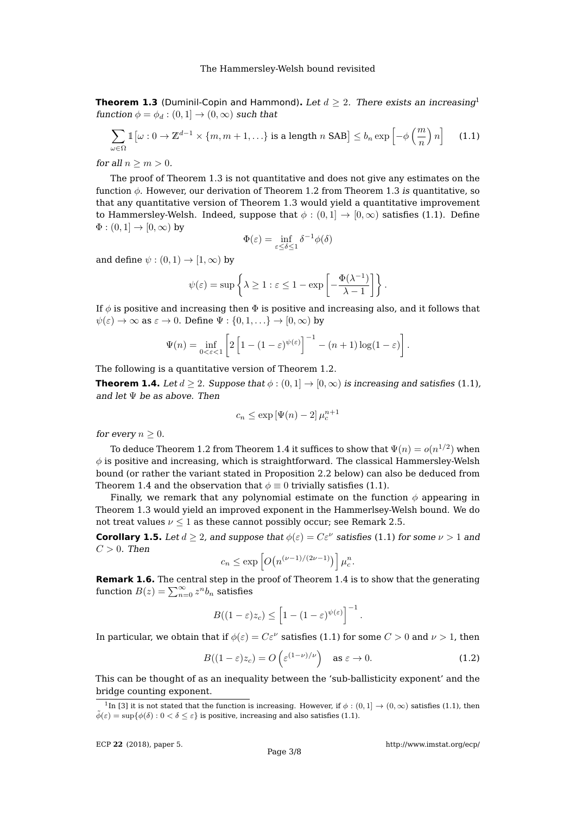<span id="page-2-0"></span>**Theorem [1](#page-2-1).3** (Duminil-Copin and Hammond). Let  $d > 2$ . There exists an increasing<sup>1</sup> function  $\phi = \phi_d : (0, 1] \rightarrow (0, \infty)$  such that

$$
\sum_{\omega \in \Omega} \mathbb{1} \left[ \omega : 0 \to \mathbb{Z}^{d-1} \times \{m, m+1, \ldots \} \text{ is a length } n \text{ SAB} \right] \le b_n \exp \left[ -\phi \left( \frac{m}{n} \right) n \right] \tag{1.1}
$$

for all  $n \geq m > 0$ .

The proof of Theorem [1.3](#page-2-0) is not quantitative and does not give any estimates on the function  $\phi$ . However, our derivation of Theorem [1.2](#page-1-0) from Theorem [1.3](#page-2-0) is quantitative, so that any quantitative version of Theorem [1.3](#page-2-0) would yield a quantitative improvement to Hammersley-Welsh. Indeed, suppose that  $\phi : (0,1] \rightarrow [0,\infty)$  satisfies [\(1.1\)](#page-2-2). Define  $\Phi : (0,1] \rightarrow [0,\infty)$  by

<span id="page-2-2"></span>
$$
\Phi(\varepsilon) = \inf_{\varepsilon \le \delta \le 1} \delta^{-1} \phi(\delta)
$$

and define  $\psi : (0,1) \rightarrow [1,\infty)$  by

$$
\psi(\varepsilon) = \sup \left\{ \lambda \ge 1 : \varepsilon \le 1 - \exp \left[ -\frac{\Phi(\lambda^{-1})}{\lambda - 1} \right] \right\}.
$$

If  $\phi$  is positive and increasing then  $\Phi$  is positive and increasing also, and it follows that  $\psi(\varepsilon) \to \infty$  as  $\varepsilon \to 0$ . Define  $\Psi : \{0, 1, \ldots\} \to [0, \infty)$  by

$$
\Psi(n) = \inf_{0 < \varepsilon < 1} \left[ 2 \left[ 1 - (1 - \varepsilon)^{\psi(\varepsilon)} \right]^{-1} - (n+1) \log(1-\varepsilon) \right].
$$

The following is a quantitative version of Theorem [1.2.](#page-1-0)

<span id="page-2-3"></span>**Theorem 1.4.** Let  $d \geq 2$ . Suppose that  $\phi : (0,1] \rightarrow [0,\infty)$  is increasing and satisfies [\(1.1\)](#page-2-2), and let Ψ be as above. Then

$$
c_n \le \exp\left[\Psi(n) - 2\right] \mu_c^{n+1}
$$

for every  $n \geq 0$ .

To deduce Theorem [1.2](#page-1-0) from Theorem [1.4](#page-2-3) it suffices to show that  $\Psi(n) = o(n^{1/2})$  when  $\phi$  is positive and increasing, which is straightforward. The classical Hammersley-Welsh bound (or rather the variant stated in Proposition [2.2](#page-3-0) below) can also be deduced from Theorem [1.4](#page-2-3) and the observation that  $\phi \equiv 0$  trivially satisfies [\(1.1\)](#page-2-2).

Finally, we remark that any polynomial estimate on the function  $\phi$  appearing in Theorem [1.3](#page-2-0) would yield an improved exponent in the Hammerlsey-Welsh bound. We do not treat values  $\nu \leq 1$  as these cannot possibly occur; see Remark [2.5.](#page-5-0)

<span id="page-2-4"></span>**Corollary 1.5.** Let  $d \geq 2$ , and suppose that  $\phi(\varepsilon) = C\varepsilon^{\nu}$  satisfies [\(1.1\)](#page-2-2) for some  $\nu > 1$  and  $C > 0$ . Then

$$
c_n \le \exp\left[O\big(n^{(\nu-1)/(2\nu-1)}\big)\right]\mu_c^n.
$$

**Remark 1.6.** The central step in the proof of Theorem [1.4](#page-2-3) is to show that the generating function  $B(z)=\sum_{n=0}^{\infty}z^{n}b_{n}$  satisfies

$$
B((1-\varepsilon)z_c)\leq \left[1-(1-\varepsilon)^{\psi(\varepsilon)}\right]^{-1}.
$$

In particular, we obtain that if  $\phi(\varepsilon) = C\varepsilon^{\nu}$  satisfies [\(1.1\)](#page-2-2) for some  $C > 0$  and  $\nu > 1$ , then

$$
B((1-\varepsilon)z_c) = O\left(\varepsilon^{(1-\nu)/\nu}\right) \quad \text{as } \varepsilon \to 0. \tag{1.2}
$$

This can be thought of as an inequality between the 'sub-ballisticity exponent' and the bridge counting exponent.

<span id="page-2-1"></span><sup>&</sup>lt;sup>1</sup>In [\[3\]](#page-6-16) it is not stated that the function is increasing. However, if  $\phi$  :  $(0,1] \rightarrow (0,\infty)$  satisfies [\(1.1\)](#page-2-2), then  $\tilde{\phi}(\varepsilon) = \sup \{ \phi(\delta) : 0 < \delta \leq \varepsilon \}$  is positive, increasing and also satisfies [\(1.1\)](#page-2-2).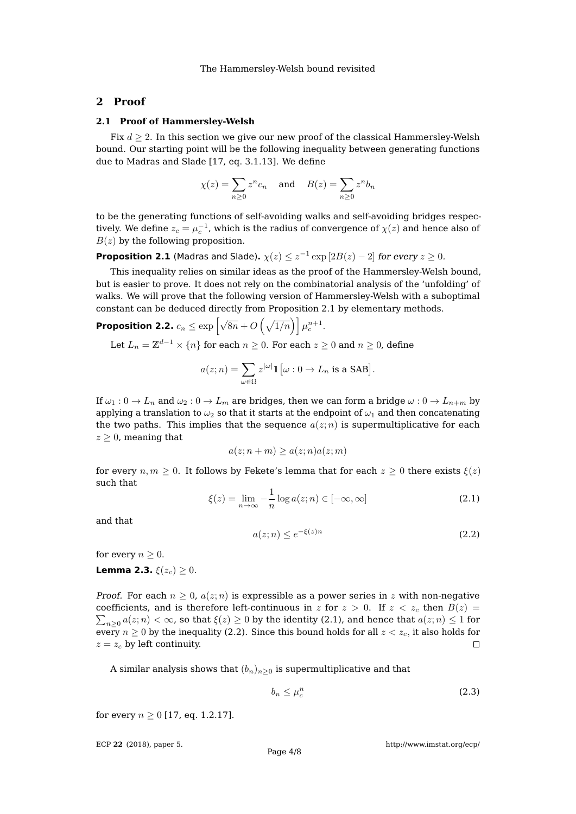## **2 Proof**

#### **2.1 Proof of Hammersley-Welsh**

Fix  $d \geq 2$ . In this section we give our new proof of the classical Hammersley-Welsh bound. Our starting point will be the following inequality between generating functions due to Madras and Slade [\[17,](#page-6-1) eq. 3.1.13]. We define

$$
\chi(z) = \sum_{n\geq 0} z^n c_n \quad \text{and} \quad B(z) = \sum_{n\geq 0} z^n b_n
$$

to be the generating functions of self-avoiding walks and self-avoiding bridges respectively. We define  $z_c = \mu_c^{-1}$ , which is the radius of convergence of  $\chi(z)$  and hence also of  $B(z)$  by the following proposition.

<span id="page-3-1"></span>**Proposition 2.1** (Madras and Slade).  $\chi(z) \leq z^{-1} \exp \left[ 2B(z) - 2 \right]$  for every  $z \geq 0$ .

This inequality relies on similar ideas as the proof of the Hammersley-Welsh bound, but is easier to prove. It does not rely on the combinatorial analysis of the 'unfolding' of walks. We will prove that the following version of Hammersley-Welsh with a suboptimal constant can be deduced directly from Proposition [2.1](#page-3-1) by elementary methods.

<span id="page-3-0"></span>**Proposition 2.2.**  $c_n \leq \exp\left[\sqrt{8n} + O\left(\sqrt{1/n}\right)\right] \mu_c^{n+1}.$ Let  $L_n = \mathbb{Z}^{d-1} \times \{n\}$  for each  $n \geq 0$ . For each  $z \geq 0$  and  $n \geq 0$ , define

$$
a(z; n) = \sum_{\omega \in \Omega} z^{|\omega|} \mathbb{1} \big[ \omega : 0 \to L_n \text{ is a SAB} \big].
$$

If  $\omega_1: 0 \to L_n$  and  $\omega_2: 0 \to L_m$  are bridges, then we can form a bridge  $\omega: 0 \to L_{n+m}$  by applying a translation to  $\omega_2$  so that it starts at the endpoint of  $\omega_1$  and then concatenating the two paths. This implies that the sequence  $a(z; n)$  is supermultiplicative for each  $z \geq 0$ , meaning that

$$
a(z; n+m) \ge a(z; n) a(z; m)
$$

for every  $n, m \geq 0$ . It follows by Fekete's lemma that for each  $z \geq 0$  there exists  $\xi(z)$ such that

<span id="page-3-2"></span>
$$
\xi(z) = \lim_{n \to \infty} -\frac{1}{n} \log a(z; n) \in [-\infty, \infty]
$$
\n(2.1)

and that

<span id="page-3-3"></span>
$$
a(z; n) \le e^{-\xi(z)n} \tag{2.2}
$$

for every  $n \geq 0$ .

<span id="page-3-4"></span>**Lemma 2.3.**  $\xi(z_c) > 0$ .

*Proof.* For each  $n \geq 0$ ,  $a(z; n)$  is expressible as a power series in z with non-negative coefficients, and is therefore left-continuous in z for  $z > 0$ . If  $z < z_c$  then  $B(z) =$  $\sum_{n\geq 0}a(z;n)<\infty$ , so that  $\xi(z)\geq 0$  by the identity [\(2.1\)](#page-3-2), and hence that  $a(z;n)\leq 1$  for every  $n \geq 0$  by the inequality [\(2.2\)](#page-3-3). Since this bound holds for all  $z < z_c$ , it also holds for  $z = z_c$  by left continuity.  $\Box$ 

A similar analysis shows that  $(b_n)_{n>0}$  is supermultiplicative and that

<span id="page-3-5"></span>
$$
b_n \le \mu_c^n \tag{2.3}
$$

for every  $n > 0$  [\[17,](#page-6-1) eq. 1.2.17].

ECP **22** [\(2018\), paper 5.](http://dx.doi.org/10.1214/17-ECP94)

<http://www.imstat.org/ecp/>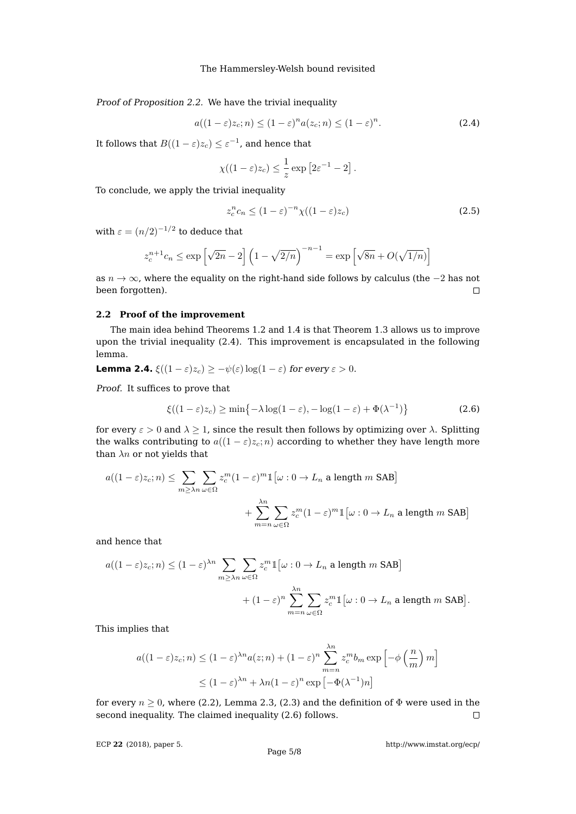Proof of Proposition [2.2.](#page-3-0) We have the trivial inequality

<span id="page-4-0"></span>
$$
a((1-\varepsilon)z_c; n) \le (1-\varepsilon)^n a(z_c; n) \le (1-\varepsilon)^n. \tag{2.4}
$$

It follows that  $B((1 - \varepsilon)z_c) \leq \varepsilon^{-1}$ , and hence that

$$
\chi((1-\varepsilon)z_c) \leq \frac{1}{z} \exp [2\varepsilon^{-1} - 2].
$$

To conclude, we apply the trivial inequality

<span id="page-4-2"></span>
$$
z_c^n c_n \le (1 - \varepsilon)^{-n} \chi((1 - \varepsilon)z_c) \tag{2.5}
$$

with  $\varepsilon = (n/2)^{-1/2}$  to deduce that

$$
z_c^{n+1}c_n \le \exp\left[\sqrt{2n} - 2\right] \left(1 - \sqrt{2/n}\right)^{-n-1} = \exp\left[\sqrt{8n} + O(\sqrt{1/n})\right]
$$

as  $n \to \infty$ , where the equality on the right-hand side follows by calculus (the  $-2$  has not been forgotten).  $\Box$ 

#### **2.2 Proof of the improvement**

The main idea behind Theorems [1.2](#page-1-0) and [1.4](#page-2-3) is that Theorem [1.3](#page-2-0) allows us to improve upon the trivial inequality [\(2.4\)](#page-4-0). This improvement is encapsulated in the following lemma.

**Lemma 2.4.** 
$$
\xi((1-\varepsilon)z_c) \geq -\psi(\varepsilon)\log(1-\varepsilon)
$$
 for every  $\varepsilon > 0$ .

Proof. It suffices to prove that

<span id="page-4-1"></span>
$$
\xi((1-\varepsilon)z_c) \ge \min\{-\lambda \log(1-\varepsilon), -\log(1-\varepsilon) + \Phi(\lambda^{-1})\}
$$
 (2.6)

for every  $\varepsilon > 0$  and  $\lambda \geq 1$ , since the result then follows by optimizing over  $\lambda$ . Splitting the walks contributing to  $a((1 - \varepsilon)z_c; n)$  according to whether they have length more than  $\lambda n$  or not yields that

$$
a((1-\varepsilon)z_c; n) \le \sum_{m \ge \lambda n} \sum_{\omega \in \Omega} z_c^m (1-\varepsilon)^m 1[\omega: 0 \to L_n \text{ a length } m \text{ SAB}] + \sum_{m=n}^{\lambda n} \sum_{\omega \in \Omega} z_c^m (1-\varepsilon)^m 1[\omega: 0 \to L_n \text{ a length } m \text{ SAB}]
$$

and hence that

$$
a((1-\varepsilon)z_c; n) \le (1-\varepsilon)^{\lambda n} \sum_{m \ge \lambda n} \sum_{\omega \in \Omega} z_c^m 1[\omega: 0 \to L_n \text{ a length } m \text{ SAB}]
$$
  
+  $(1-\varepsilon)^n \sum_{m=n} \sum_{\omega \in \Omega} z_c^m 1[\omega: 0 \to L_n \text{ a length } m \text{ SAB}].$ 

This implies that

$$
a((1-\varepsilon)z_c; n) \le (1-\varepsilon)^{\lambda n} a(z; n) + (1-\varepsilon)^n \sum_{m=n}^{\lambda n} z_c^m b_m \exp\left[-\phi\left(\frac{n}{m}\right)m\right]
$$
  

$$
\le (1-\varepsilon)^{\lambda n} + \lambda n (1-\varepsilon)^n \exp\left[-\Phi(\lambda^{-1})n\right]
$$

for every  $n \geq 0$ , where [\(2.2\)](#page-3-3), Lemma [2.3,](#page-3-4) [\(2.3\)](#page-3-5) and the definition of  $\Phi$  were used in the second inequality. The claimed inequality [\(2.6\)](#page-4-1) follows.  $\Box$ 

ECP **22** [\(2018\), paper 5.](http://dx.doi.org/10.1214/17-ECP94)

<http://www.imstat.org/ecp/>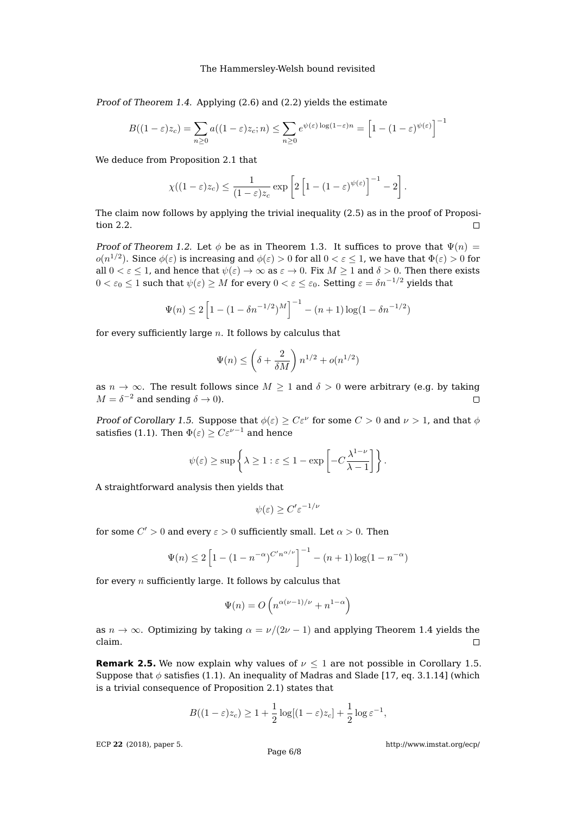Proof of Theorem [1.4.](#page-2-3) Applying [\(2.6\)](#page-4-1) and [\(2.2\)](#page-3-3) yields the estimate

$$
B((1-\varepsilon)z_c) = \sum_{n\geq 0} a((1-\varepsilon)z_c; n) \leq \sum_{n\geq 0} e^{\psi(\varepsilon)\log(1-\varepsilon)n} = \left[1 - (1-\varepsilon)^{\psi(\varepsilon)}\right]^{-1}
$$

We deduce from Proposition [2.1](#page-3-1) that

$$
\chi((1-\varepsilon)z_c) \leq \frac{1}{(1-\varepsilon)z_c} \exp\left[2\left[1-(1-\varepsilon)^{\psi(\varepsilon)}\right]^{-1}-2\right].
$$

The claim now follows by applying the trivial inequality [\(2.5\)](#page-4-2) as in the proof of Proposition [2.2.](#page-3-0)  $\Box$ 

Proof of Theorem [1.2.](#page-1-0) Let  $\phi$  be as in Theorem [1.3.](#page-2-0) It suffices to prove that  $\Psi(n)$  =  $o(n^{1/2})$ . Since  $\phi(\varepsilon)$  is increasing and  $\phi(\varepsilon)>0$  for all  $0<\varepsilon\leq 1$ , we have that  $\Phi(\varepsilon)>0$  for all  $0 < \varepsilon < 1$ , and hence that  $\psi(\varepsilon) \to \infty$  as  $\varepsilon \to 0$ . Fix  $M > 1$  and  $\delta > 0$ . Then there exists  $0 < \varepsilon_0 \leq 1$  such that  $\psi(\varepsilon) \geq M$  for every  $0 < \varepsilon \leq \varepsilon_0$ . Setting  $\varepsilon = \delta n^{-1/2}$  yields that

$$
\Psi(n) \le 2\left[1 - (1 - \delta n^{-1/2})^M\right]^{-1} - (n+1)\log(1 - \delta n^{-1/2})
$$

for every sufficiently large  $n$ . It follows by calculus that

$$
\Psi(n) \le \left(\delta + \frac{2}{\delta M}\right) n^{1/2} + o(n^{1/2})
$$

as  $n \to \infty$ . The result follows since  $M \geq 1$  and  $\delta > 0$  were arbitrary (e.g. by taking  $M = \delta^{-2}$  and sending  $\delta \to 0$ ).  $\Box$ 

Proof of Corollary [1.5.](#page-2-4) Suppose that  $\phi(\varepsilon) \geq C\varepsilon^{\nu}$  for some  $C > 0$  and  $\nu > 1$ , and that  $\phi$ satisfies [\(1.1\)](#page-2-2). Then  $\Phi(\varepsilon) \geq C \varepsilon^{\nu-1}$  and hence

$$
\psi(\varepsilon) \ge \sup \left\{ \lambda \ge 1 : \varepsilon \le 1 - \exp \left[ -C \frac{\lambda^{1-\nu}}{\lambda - 1} \right] \right\}.
$$

A straightforward analysis then yields that

$$
\psi(\varepsilon) \ge C' \varepsilon^{-1/\nu}
$$

for some  $C'>0$  and every  $\varepsilon > 0$  sufficiently small. Let  $\alpha > 0$ . Then

$$
\Psi(n) \le 2\left[1 - (1 - n^{-\alpha})^{C'n^{\alpha/\nu}}\right]^{-1} - (n+1)\log(1 - n^{-\alpha})
$$

for every  $n$  sufficiently large. It follows by calculus that

$$
\Psi(n) = O\left(n^{\alpha(\nu - 1)/\nu} + n^{1-\alpha}\right)
$$

as  $n \to \infty$ . Optimizing by taking  $\alpha = \nu/(2\nu - 1)$  and applying Theorem [1.4](#page-2-3) yields the claim.  $\Box$ 

<span id="page-5-0"></span>**Remark 2.5.** We now explain why values of  $\nu \leq 1$  are not possible in Corollary [1.5.](#page-2-4) Suppose that  $\phi$  satisfies [\(1.1\)](#page-2-2). An inequality of Madras and Slade [\[17,](#page-6-1) eq. 3.1.14] (which is a trivial consequence of Proposition [2.1\)](#page-3-1) states that

$$
B((1-\varepsilon)z_c) \ge 1 + \frac{1}{2}\log[(1-\varepsilon)z_c] + \frac{1}{2}\log \varepsilon^{-1},
$$

ECP **22** [\(2018\), paper 5.](http://dx.doi.org/10.1214/17-ECP94)

<http://www.imstat.org/ecp/>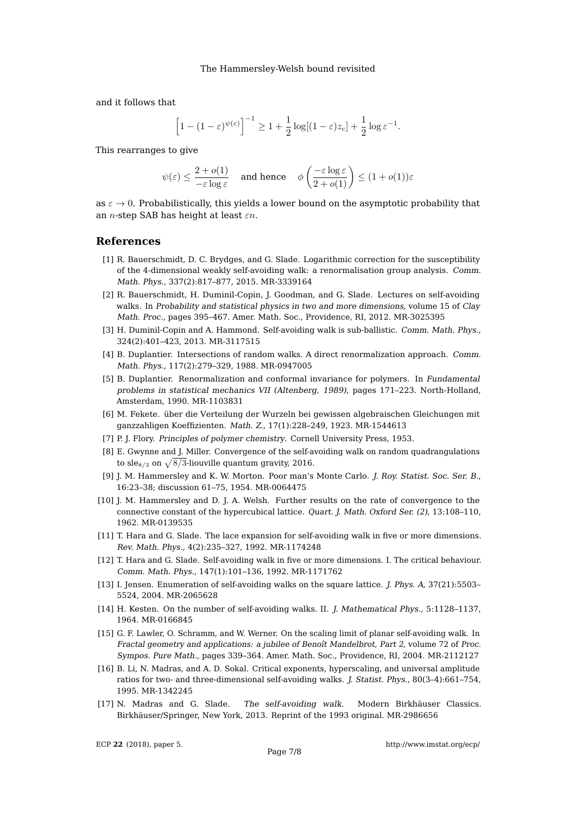and it follows that

$$
\left[1 - (1 - \varepsilon)^{\psi(\varepsilon)}\right]^{-1} \ge 1 + \frac{1}{2}\log[(1 - \varepsilon)z_c] + \frac{1}{2}\log \varepsilon^{-1}.
$$

This rearranges to give

$$
\psi(\varepsilon) \leq \frac{2+o(1)}{-\varepsilon\log\varepsilon} \quad \text{ and hence } \quad \phi\left(\frac{-\varepsilon\log\varepsilon}{2+o(1)}\right) \leq (1+o(1))\varepsilon
$$

as  $\varepsilon \to 0$ . Probabilistically, this yields a lower bound on the asymptotic probability that an *n*-step SAB has height at least  $\varepsilon n$ .

#### **References**

- <span id="page-6-7"></span>[1] R. Bauerschmidt, D. C. Brydges, and G. Slade. Logarithmic correction for the susceptibility of the 4-dimensional weakly self-avoiding walk: a renormalisation group analysis. Comm. Math. Phys., 337(2):817–877, 2015. [MR-3339164](http://www.ams.org/mathscinet-getitem?mr=3339164)
- <span id="page-6-2"></span>[2] R. Bauerschmidt, H. Duminil-Copin, J. Goodman, and G. Slade. Lectures on self-avoiding walks. In Probability and statistical physics in two and more dimensions, volume 15 of Clay Math. Proc., pages 395–467. Amer. Math. Soc., Providence, RI, 2012. [MR-3025395](http://www.ams.org/mathscinet-getitem?mr=3025395)
- <span id="page-6-16"></span>[3] H. Duminil-Copin and A. Hammond. Self-avoiding walk is sub-ballistic. Comm. Math. Phys., 324(2):401–423, 2013. [MR-3117515](http://www.ams.org/mathscinet-getitem?mr=3117515)
- <span id="page-6-10"></span>[4] B. Duplantier. Intersections of random walks. A direct renormalization approach. Comm. Math. Phys., 117(2):279–329, 1988. [MR-0947005](http://www.ams.org/mathscinet-getitem?mr=0947005)
- <span id="page-6-11"></span>[5] B. Duplantier. Renormalization and conformal invariance for polymers. In Fundamental problems in statistical mechanics VII (Altenberg, 1989), pages 171–223. North-Holland, Amsterdam, 1990. [MR-1103831](http://www.ams.org/mathscinet-getitem?mr=1103831)
- <span id="page-6-4"></span>[6] M. Fekete. über die Verteilung der Wurzeln bei gewissen algebraischen Gleichungen mit ganzzahligen Koeffizienten. Math. Z., 17(1):228–249, 1923. [MR-1544613](http://www.ams.org/mathscinet-getitem?mr=1544613)
- <span id="page-6-0"></span>[7] P. J. Flory. Principles of polymer chemistry. Cornell University Press, 1953.
- <span id="page-6-13"></span>[8] E. Gwynne and J. Miller. Convergence of the self-avoiding walk on random quadrangulations to sle<sub>8/3</sub> on  $\sqrt{\frac{8}{3}}$ -liouville quantum gravity, 2016.
- <span id="page-6-3"></span>[9] J. M. Hammersley and K. W. Morton. Poor man's Monte Carlo. J. Roy. Statist. Soc. Ser. B., 16:23–38; discussion 61–75, 1954. [MR-0064475](http://www.ams.org/mathscinet-getitem?mr=0064475)
- <span id="page-6-14"></span>[10] J. M. Hammersley and D. J. A. Welsh. Further results on the rate of convergence to the connective constant of the hypercubical lattice. Quart. J. Math. Oxford Ser. (2), 13:108–110, 1962. [MR-0139535](http://www.ams.org/mathscinet-getitem?mr=0139535)
- <span id="page-6-6"></span>[11] T. Hara and G. Slade. The lace expansion for self-avoiding walk in five or more dimensions. Rev. Math. Phys., 4(2):235–327, 1992. [MR-1174248](http://www.ams.org/mathscinet-getitem?mr=1174248)
- <span id="page-6-5"></span>[12] T. Hara and G. Slade. Self-avoiding walk in five or more dimensions. I. The critical behaviour. Comm. Math. Phys., 147(1):101–136, 1992. [MR-1171762](http://www.ams.org/mathscinet-getitem?mr=1171762)
- <span id="page-6-9"></span>[13] I. Jensen. Enumeration of self-avoiding walks on the square lattice. J. Phys. A, 37(21):5503– 5524, 2004. [MR-2065628](http://www.ams.org/mathscinet-getitem?mr=2065628)
- <span id="page-6-15"></span>[14] H. Kesten. On the number of self-avoiding walks. II. J. Mathematical Phys., 5:1128–1137, 1964. [MR-0166845](http://www.ams.org/mathscinet-getitem?mr=0166845)
- <span id="page-6-12"></span>[15] G. F. Lawler, O. Schramm, and W. Werner. On the scaling limit of planar self-avoiding walk. In Fractal geometry and applications: a jubilee of Benoît Mandelbrot, Part 2, volume 72 of Proc. Sympos. Pure Math., pages 339–364. Amer. Math. Soc., Providence, RI, 2004. [MR-2112127](http://www.ams.org/mathscinet-getitem?mr=2112127)
- <span id="page-6-8"></span>[16] B. Li, N. Madras, and A. D. Sokal. Critical exponents, hyperscaling, and universal amplitude ratios for two- and three-dimensional self-avoiding walks. J. Statist. Phys., 80(3–4):661–754, 1995. [MR-1342245](http://www.ams.org/mathscinet-getitem?mr=1342245)
- <span id="page-6-1"></span>[17] N. Madras and G. Slade. The self-avoiding walk. Modern Birkhäuser Classics. Birkhäuser/Springer, New York, 2013. Reprint of the 1993 original. [MR-2986656](http://www.ams.org/mathscinet-getitem?mr=2986656)